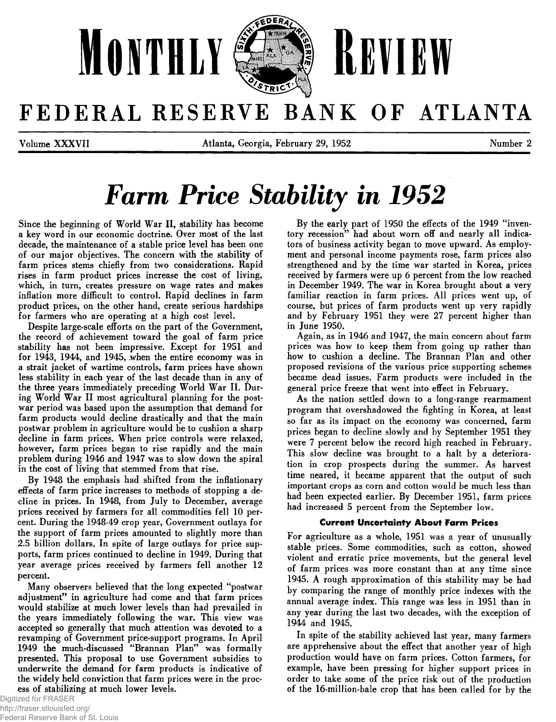

# FEDERAL RESERVE BANK OF ATLANTA

Volume X X X V II Atlanta, Georgia, February 29, 1952 Number 2

# **Farm Price Stability in 1952**

Since the beginning of World War II, stability has become a key word in our economic doctrine. Over most of the last decade, the maintenance of a stable price level has been one of our major objectives. The concern with the stability of farm prices stems chiefly from two considerations. Rapid rises in farm product prices increase the cost of living, which, in turn, creates pressure on wage rates and makes inflation more difficult to control. Rapid declines in farm product prices, on the other hand, create serious hardships for farmers who are operating at a high cost level.

Despite large-scale efforts on the part of the Government, the record of achievement toward the goal of farm price stability has not been impressive. Except for 1951 and for 1943, 1944, and 1945, when the entire economy was in a strait jacket of wartime controls, farm prices have shown less stability in each year of the last decade than in any of the three years immediately preceding World War II. During World War II most agricultural planning for the postwar period was based upon the assumption that demand for farm products would decline drastically and that the main postwar problem in agriculture would be to cushion a sharp decline in farm prices. When price controls were relaxed, however, farm prices began to rise rapidly and the main problem during 1946 and 1947 was to slow down the spiral in the cost of living that stemmed from that rise.

By 1948 the emphasis had shifted from the inflationary effects of farm price increases to methods of stopping a decline in prices. In 1948, from July to December, average prices received by farmers for all commodities fell 10 percent. During the 1948-49 crop year, Government outlays for the support of farm prices amounted to slightly more than 2.5 billion dollars. In spite of large outlays for price supports, farm prices continued to decline in 1949. During that year average prices received by farmers fell another 12 percent.

Many observers believed that the long expected "postwar adjustment" in agriculture had come and that farm prices would stabilize at much lower levels than had prevailed in the years immediately following the war. This view was accepted so generally that much attention was devoted to a revamping of Government price-support programs. In April 1949 the much-discussed "Brannan Plan" was formally presented. This proposal to use Government subsidies to underwrite the demand for farm products is indicative of the widely held conviction that farm prices were in the process of stabilizing at much lower levels.

By the early part of 1950 the effects of the 1949 "inventory recession" had about worn off and nearly all indicators of business activity began to move upward. As employment and personal income payments rose, farm prices also strengthened and by the time war started in Korea, prices received by farmers were up 6 percent from the low reached in December 1949. The war in Korea brought about a very familiar reaction in farm prices. All prices went up, of course, but prices of farm products went up very rapidly and by February 1951 they were 27 percent higher than in June 1950.

Again, as in 1946 and 1947, the main concern about farm prices was how to keep them from going up rather than how to cushion a decline. The Brannan Plan and other proposed revisions of the various price supporting schemes became dead issues. Farm products were included in the general price freeze that went into effect in February.

As the nation settled down to a long-range rearmament program that overshadowed the fighting in Korea, at least so far as its impact on the economy was concerned, farm prices began to decline slowly and by September 1951 they were 7 percent below the record high reached in February. This slow decline was brought to a halt by a deterioration in crop prospects during the summer. As harvest time neared, it became apparent that the output of such important crops as corn and cotton would be much less than had been expected earlier. By December 1951, farm prices had increased 5 percent from the September low.

### **Current Uncertainty About Farm Prices**

For agriculture as a whole, 1951 was a year of unusually stable prices. Some commodities, such as cotton, showed violent and erratic price movements, but the general level of farm prices was more constant than at any time since 1945. A rough approximation of this stability may be had by comparing the range of monthly price indexes with the annual average index. This range was less in 1951 than in any year during the last two decades, with the exception of 1944 and 1945.

In spite of the stability achieved last year, many farmers are apprehensive about the effect that another year of high production would have on farm prices. Cotton farmers, for example, have been pressing for higher support prices in order to take some of the price risk out of the production of the 16-million-bale crop that has been called for by the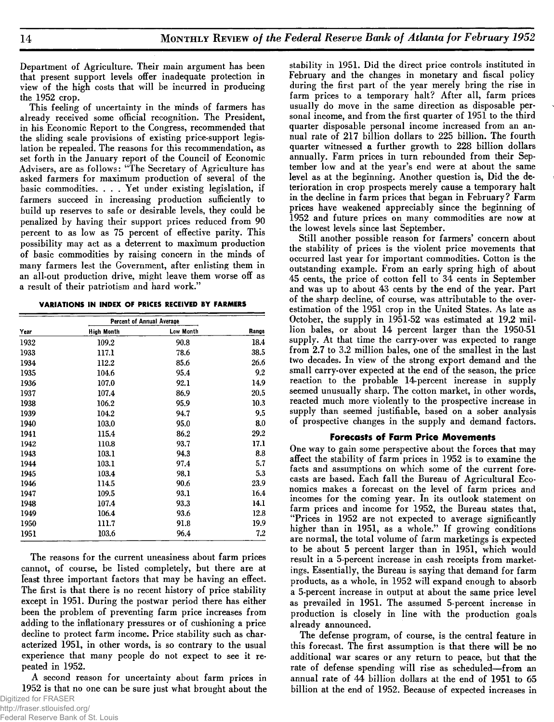Department of Agriculture. Their main argument has been that present support levels offer inadequate protection in view of the high costs that will be incurred in producing the 1952 crop.

This feeling of uncertainty in the minds of farmers has already received some official recognition. The President, in his Economic Report to the Congress, recommended that the sliding scale provisions of existing price-support legislation be repealed. The reasons for this recommendation, as set forth in the January report of the Council of Economic Advisers, are as follows: " The Secretary of Agriculture has asked farmers for maximum production of several of the basic commodities. . . . Yet under existing legislation, if farmers succeed in increasing production sufficiently to build up reserves to safe or desirable levels, they could be penalized by having their support prices reduced from 90 percent to as low as 75 percent of effective parity. This possibility may act as a deterrent to maximum production of basic commodities by raising concern in the minds of many farmers lest the Government, after enlisting them in an all-out production drive, might leave them worse off as a result of their patriotism and hard work."

| VARIATIONS IN INDEX OF PRICES RECEIVED BY FARMERS |  |  |  |  |  |
|---------------------------------------------------|--|--|--|--|--|
|---------------------------------------------------|--|--|--|--|--|

|      | Percent of Annual Average |           |       |
|------|---------------------------|-----------|-------|
| Year | <b>High Month</b>         | Low Month | Range |
| 1932 | 109.2                     | 90.8      | 18.4  |
| 1933 | 117.1                     | 78.6      | 38.5  |
| 1934 | 112.2                     | 85.6      | 26.6  |
| 1935 | 104.6                     | 95.4      | 9.2   |
| 1936 | 107.0                     | 92.1      | 14.9  |
| 1937 | 107.4                     | 86.9      | 20.5  |
| 1938 | 106.2                     | 95.9      | 10.3  |
| 1939 | 104.2                     | 94.7      | 9.5   |
| 1940 | 103.0                     | 95.0      | 8.0   |
| 1941 | 115.4                     | 86.2      | 29.2  |
| 1942 | 110.8                     | 93.7      | 17.1  |
| 1943 | 103.1                     | 94.3      | 8.8   |
| 1944 | 103.1                     | 97.4      | 5.7   |
| 1945 | 103.4                     | 98.1      | 5.3   |
| 1946 | 114.5                     | 90.6      | 23.9  |
| 1947 | 109.5                     | 93.1      | 16.4  |
| 1948 | 107.4                     | 93.3      | 14.1  |
| 1949 | 106.4                     | 93.6      | 12.8  |
| 1950 | 111.7                     | 91.8      | 19.9  |
| 1951 | 103.6                     | 96.4      | 7.2   |

The reasons for the current uneasiness about farm prices cannot, of course, be listed completely, but there are at least three important factors that may be having an effect. The first is that there is no recent history of price stability except in 1951. During the postwar period there has either been the problem of preventing farm price increases from adding to the inflationary pressures or of cushioning a price decline to protect farm income. Price stability such as characterized 1951, in other words, is so contrary to the usual experience that many people do not expect to see it repeated in 1952.

A second reason for uncertainty about farm prices in 1952 is that no one can be sure just what brought about the

stability in 1951. Did the direct price controls instituted in February and the changes in monetary and fiscal policy during the first part of the year merely bring the rise in farm prices to a temporary halt? After all, farm prices usually do move in the same direction as disposable personal income, and from the first quarter of 1951 to the third quarter disposable personal income increased from an annual rate of 217 billion dollars to 225 billion. The fourth quarter witnessed a further growth to 228 billion dollars annually. Farm prices in turn rebounded from their September low and at the year's end were at about the same level as at the beginning. Another question is, Did the deterioration in crop prospects merely cause a temporary halt in the decline in farm prices that began in February? Farm prices have weakened appreciably since the beginning of 1952 and future prices on many commodities are now at the lowest levels since last September.

Still another possible reason for farmers' concern about the stability of prices is the violent price movements that occurred last year for important commodities. Cotton is the outstanding example. From an early spring high of about 45 cents, the price of cotton fell to 34 cents in September and was up to about 43 cents by the end of the year. Part of the sharp decline, of course, was attributable to the overestimation of the 1951 crop in the United States. As late as October, the supply in 1951-52 was estimated at 19.2 million bales, or about 14 percent larger than the 1950-51 supply. At that time the carry-over was expected to range from 2.7 to 3.2 million bales, one of the smallest in the last two decades. In view of the strong export demand and the small carry-over expected at the end of the season, the price reaction to the probable 14-percent increase in supply seemed unusually sharp. The cotton market, in other words, reacted much more violently to the prospective increase in supply than seemed justifiable, based on a sober analysis of prospective changes in the supply and demand factors.

### **Forecasts of Farm Price Movements**

One way to gain some perspective about the forces that may affect the stability of farm prices in 1952 is to examine the facts and assumptions on which some of the current forecasts are based. Each fall the Bureau of Agricultural Economics makes a forecast on the level of farm prices and incomes for the coming year. In its outlook statement on farm prices and income for 1952, the Bureau states that, " Prices in 1952 are not expected to average significantly higher than in 1951, as a whole." If growing conditions are normal, the total volume of farm marketings is expected to be about 5 percent larger than in 1951, which would result in a 5-percent increase in cash receipts from marketings. Essentially, the Bureau is saying that demand for farm products, as a whole, in 1952 will expand enough to absorb a 5-percent increase in output at about the same price level as prevailed in 1951. The assumed 5-percent increase in production is closely in line with the production goals already announced.

The defense program, of course, is the central feature in this forecast. The first assumption is that there will be no additional war scares or any return to peace, but that the rate of defense spending will rise as scheduled—from an annual rate of 44 billion dollars at the end of 1951 to 65 billion at the end of 1952. Because of expected increases in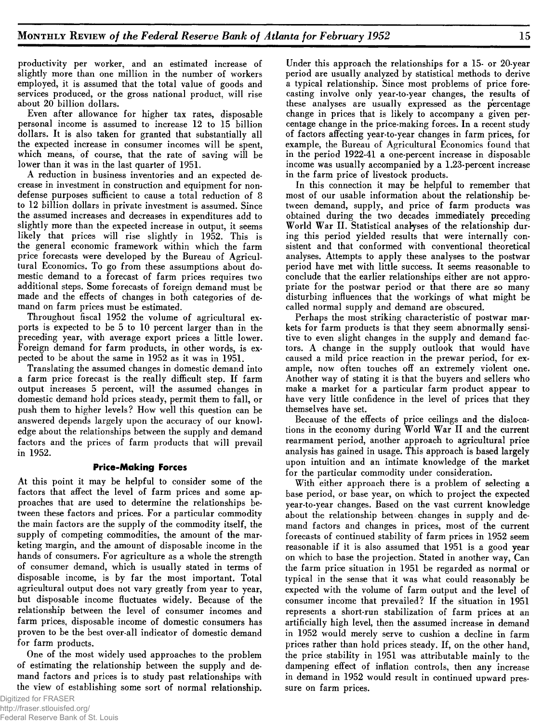productivity per worker, and an estimated increase of slightly more than one million in the number of workers employed, it is assumed that the total value of goods and services produced, or the gross national product, will rise about 20 billion dollars.

Even after allowance for higher tax rates, disposable personal income is assumed to increase 12 to 15 billion dollars. It is also taken for granted that substantially all the expected increase in consumer incomes will be spent, which means, of course, that the rate of saving will be lower than it was in the last quarter of 1951.

A reduction in business inventories and an expected decrease in investment in construction and equipment for nondefense purposes sufficient to cause a total reduction of 8 to 12 billion dollars in private investment is assumed. Since the assumed increases and decreases in expenditures add to slightly more than the expected increase in output, it seems likely that prices will rise slightly in 1952. This is the general economic framework within which the farm price forecasts were developed by the Bureau of Agricultural Economics. To go from these assumptions about domestic demand to a forecast of farm prices requires two additional steps. Some forecasts of foreign demand must be made and the effects of changes in both categories of demand on farm prices must be estimated.

Throughout fiscal 1952 the volume of agricultural exports is expected to be 5 to 10 percent larger than in the preceding year, with average export prices a little lower. Foreign demand for farm products, in other words, is expected to be about the same in 1952 as it was in 1951.

Translating the assumed changes in domestic demand into a farm price forecast is the really difficult step. If farm output increases 5 percent, will the assumed changes in domestic demand hold prices steady, permit them to fall, or push them to higher levels? How well this question can be answered depends largely upon the accuracy of our knowledge about the relationships between the supply and demand factors and the prices of farm products that will prevail in 1952.

### **Price-Making Forces**

At this point it may be helpful to consider some of the factors that affect the level of farm prices and some approaches that are used to determine the relationships between these factors and prices. For a particular commodity the main factors are the supply of the commodity itself, the supply of competing commodities, the amount of the marketing margin, and the amount of disposable income in the hands of consumers. For agriculture as a whole the strength of consumer demand, which is usually stated in terms of disposable income, is by far the most important. Total agricultural output does not vary greatly from year to year, but disposable income fluctuates widely. Because of the relationship between the level of consumer incomes and farm prices, disposable income of domestic consumers has proven to be the best over-all indicator of domestic demand for farm products.

One of the most widely used approaches to the problem of estimating the relationship between the supply and demand factors and prices is to study past relationships with the view of establishing some sort of normal relationship. Under this approach the relationships for a 15- or 20-year period are usually analyzed by statistical methods to derive a typical relationship. Since most problems of price forecasting involve only year-to-year changes, the results of these analyses are usually expressed as the percentage change in prices that is likely to accompany a given percentage change in the price-making forces. In a recent study of factors affecting year-to-year changes in farm prices, for example, the Bureau of Agricultural Economics found that in the period 1922-41 a one-percent increase in disposable income was usually accompanied by a 1.23-percent increase in the farm price of livestock products.

In this connection it may be helpful to remember that most of our usable information about the relationship between demand, supply, and price of farm products was obtained during the two decades immediately preceding World War II. Statistical analyses of the relationship during this period yielded results that were internally consistent and that conformed with conventional theoretical analyses. Attempts to apply these analyses to the postwar period have met with little success. It seems reasonable to conclude that the earlier relationships either are not appropriate for the postwar period or that there are so many disturbing influences that the workings of what might be called normal supply and demand are obscured.

Perhaps the most striking characteristic of postwar markets for farm products is that they seem abnormally sensitive to even slight changes in the supply and demand factors. A change in the supply outlook that would have caused a mild price reaction in the prewar period, for example, now often touches off an extremely violent one. Another way of stating it is that the buyers and sellers who make a market for a particular farm product appear to have very little confidence in the level of prices that they themselves have set.

Because of the effects of price ceilings and the dislocations in the economy during World War II and the current rearmament period, another approach to agricultural price analysis has gained in usage. This approach is based largely upon intuition and an intimate knowledge of the market for the particular commodity under consideration.

With either approach there is a problem of selecting a base period, or base year, on which to project the expected year-to-year changes. Based on the vast current knowledge about the relationship between changes in supply and demand factors and changes in prices, most of the current forecasts of continued stability of farm prices in 1952 seem reasonable if it is also assumed that 1951 is a good year on which to base the projection. Stated in another way, Can the farm price situation in 1951 be regarded as normal or typical in the sense that it was what could reasonably be expected with the volume of farm output and the level of consumer income that prevailed? If the situation in 1951 represents a short-run stabilization of farm prices at an artificially high level, then the assumed increase in demand in 1952 would merely serve to cushion a decline in farm prices rather than hold prices steady. If, on the other hand, the price stability in 1951 was attributable mainly to the dampening effect of inflation controls, then any increase in demand in 1952 would result in continued upward pressure on farm prices.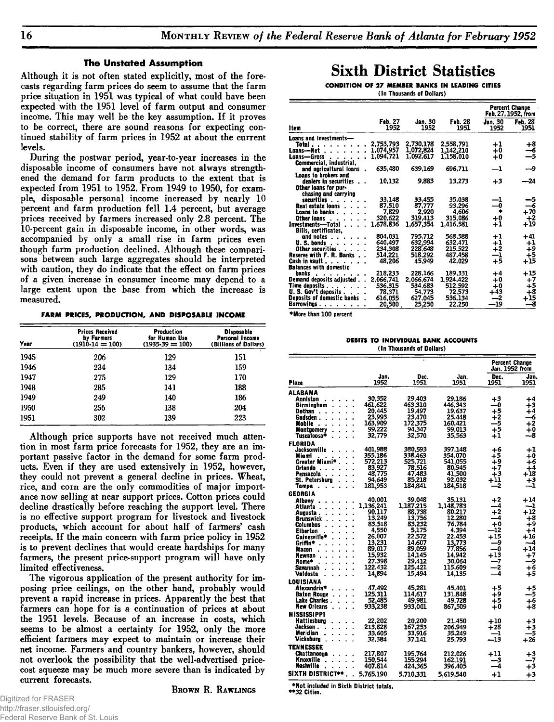### **The Unstated Assumption**

Although it is not often stated explicitly, most of the forecasts regarding farm prices do seem to assume that the farm price situation in 1951 was typical of what could have been expected with the 1951 level of farm output and consumer income. This may well be the key assumption. If it proves to be correct, there are sound reasons for expecting continued stability of farm prices in 1952 at about the current levels.

During the postwar period, year-to-year increases in the disposable income of consumers have not always strengthened the demand for farm products to the extent that is expected from 1951 to 1952. From 1949 to 1950, for example, disposable personal income increased by nearly 10 percent and farm production fell 1.4 percent, but average prices received by farmers increased only 2.8 percent. The 10-percent gain in disposable income, in other words, was accompanied by only a small rise in farm prices even though farm production declined. Although these comparisons between such large aggregates should be interpreted with caution, they do indicate that the effect on farm prices of a given increase in consumer income may depend to a large extent upon the base from which the increase is measured.

**FARM PRICES, PRODUCTION, AND DISPOSABLE INCOME**

| Year | <b>Prices Received</b><br>by Farmers<br>$(1910-14=100)$ | Production<br>for Human Use<br>$(1935.39 = 100)$ | <b>Disposable</b><br>Personal Income<br>(Billions of Dollars) |
|------|---------------------------------------------------------|--------------------------------------------------|---------------------------------------------------------------|
| 1945 | 206                                                     | 129                                              | 151                                                           |
| 1946 | 234                                                     | 134                                              | 159                                                           |
| 1947 | 275                                                     | 129                                              | 170                                                           |
| 1948 | 285                                                     | 141                                              | 188                                                           |
| 1949 | 249                                                     | 140                                              | 186                                                           |
| 1950 | 256                                                     | 138                                              | 204                                                           |
| 1951 | 302                                                     | 139                                              | 223                                                           |

Although price supports have not received much attention in most farm price forecasts for 1952, they are an important passive factor in the demand for some farm products. Even if they are used extensively in 1952, however, they could not prevent a general decline in prices. Wheat, rice, and corn are the only commodities of major importance now selling at near support prices. Cotton prices could decline drastically before reaching the support level. There is no effective support program for livestock and livestock products, which account for about half of farmers' cash receipts. If the main concern with farm price policy in 1952 is to prevent declines that would create hardships for many farmers, the present price-support program will have only limited effectiveness.

The vigorous application of the present authority for imposing price ceilings, on the other hand, probably would prevent a rapid increase in prices. Apparently the best that farmers can hope for is a continuation of prices at about the 1951 levels. Because of an increase in costs, which seems to be almost a certainty for 1952, only the more efficient farmers may expect to maintain or increase their net income. Farmers and country bankers, however, should not overlook the possibility that the well-advertised pricecost squeeze may be much more severe than is indicated by current forecasts.

**BROWN R. RAWLINGS** 

## **Sixth District Statistics**

**CONDITION OF 27 MEMBER BANKS IN LEADING CITIES (In Thousands of Dollars)**

|                                                       |                 |                 |                 |                 | <b>Percent Change</b><br>Feb. 27, 1952, from                |
|-------------------------------------------------------|-----------------|-----------------|-----------------|-----------------|-------------------------------------------------------------|
| ltem                                                  | Feb. 27<br>1952 | Jan. 30<br>1952 | Feb. 28<br>1951 | Jan. 30<br>1952 | Feb. 28<br>1951                                             |
| <b>Loans and investments—</b>                         |                 |                 |                 |                 |                                                             |
| Total                                                 | 2.753.793       | 2.730.178       | 2.558.791       | $+1$            | $+8$                                                        |
| Loans-Net.                                            | 1,074,957       | 1,072,824       | 1,142,210       | +0              | --6                                                         |
| Loans-Gross<br>$\sim$ $\sim$ $\sim$<br>$\blacksquare$ | 1.094.721       | 1.092.617       | 1.158.010       | +0              | $-5$                                                        |
| Commercial, industrial,                               |                 |                 |                 |                 |                                                             |
| and agricultural loans                                | 635,480         | 639,169         | 696.711         | $^{\rm -1}$     | -9                                                          |
| Loans to brokers and                                  |                 |                 |                 |                 |                                                             |
| dealers in securities                                 | 10,132          | 9,883           | 13,273          | $+3$            | --24                                                        |
| Other loans for pur-                                  |                 |                 |                 |                 |                                                             |
| chasing and carrying                                  |                 |                 |                 |                 |                                                             |
| securities                                            | 33.148          | 33.455          | 35.038          | -1              | $\begin{array}{c}\n-5 \\ \overline{26} \\ +70\n\end{array}$ |
| <b>Real estate loans</b>                              | 87.510          | 87.777          | 93.296          | -0              |                                                             |
| Loans to banks.                                       | 7,829           | 2,920           | 4,606           |                 |                                                             |
| Other loans                                           | 320,622         | 319,413         | 315,086         | $+0$            |                                                             |
| investments-Total.<br>$\sim$ $\sim$ $\sim$            | 1,678,836       | 1,657,354       | 1.416.581       | 41              | $^{+2}_{+19}$                                               |
| Bills, certificates,                                  |                 |                 |                 |                 |                                                             |
| and notes .                                           | 804.031         | 795.712         | 568,588         | $^{\rm +1}$     | $+41$                                                       |
| U.S. bonds                                            | 640,497         | 632.994         | 632,471         | $+1$            | $+1$                                                        |
| Other securities                                      | 234,308         | 228,648         | 215.522         | $+2$            | +9                                                          |
| Reserve with F. R. Banks                              | 514,221         | 518.292         | 487.458         | $^{\rm -1}$     | +5                                                          |
| Cash in vault.<br>.                                   | 48,206          | 45.949          | 42,029          | $+5$            | $+15$                                                       |
| <b>Balances with domestic</b>                         |                 |                 |                 |                 |                                                             |
| hanks<br>$\cdots$                                     | 218,233         | 228,166         | 189.331         | $+4$            | +15                                                         |
| Demand deposits adjusted                              | 2,066,741       | 2.066.674       | 1,924,422       | $+0$            | $+7$                                                        |
| Time deposits                                         | 536,315         | 534.683         | 512,592         | $+0$            | $+5$                                                        |
| <b>U.S. Gov't deposits.</b>                           | 78,371          | 54.773          | 72.573          | +43             | $+8$                                                        |
| Deposits of domestic banks.                           | 616,055         | 627,045         | 536,134         | -2              | $+15$                                                       |
| Borrowings.<br>.                                      | 20,500          | 25,250          | 22,250          | —19             | --8                                                         |

**\*More than 100 percent**

**DEBITS TO INDIVIDUAL BANK ACCOUNTS (In Thousands of Dollars)**

|                                |                    |                    |                    |                          | <b>Percent Change</b><br>Jan. 1952 from |
|--------------------------------|--------------------|--------------------|--------------------|--------------------------|-----------------------------------------|
| <b>Place</b>                   | Jan.<br>1952       | Dec.<br>1951       | Jan.<br>1951       | Dec.<br>1951             | Jan<br>1951                             |
| ALABAMA                        |                    |                    |                    |                          |                                         |
| Anniston                       | 30.352             | 29,403             | 29.186             | $+3$                     | $+4$                                    |
| Birminuham                     | 461.622            | 463,310            | 446.343            | —ი                       | ∔3                                      |
| Dothan<br>$\ddot{\phantom{0}}$ | 20,445             | 19,497             | 19,637             | +5                       | $+4$                                    |
| Gadsden.                       | 23.993             | 23.470             | 25.448             | $+2$                     | --6                                     |
| Mobile<br>$\cdot$              | 163,909            | 172,375            | 160,421            | -5                       | $+2$                                    |
| <b>Montgomery</b>              | 99,222<br>ï        | 94.347             | 99.013             | $+5$                     | $+0$<br>-8                              |
| Tuscaloosa*                    | 32.779<br>$\cdot$  | 32.570             | 35.563             | $^{\mathrm{+1}}$         |                                         |
| <b>FLORIDA</b>                 |                    |                    |                    |                          |                                         |
| Jacksonville                   | 401.988            | 380,593            | 397.148            | +6<br>∔5                 | $^{+1}$                                 |
| Miami<br>Greater Miami*        | 355.186<br>572.213 | 338,463<br>525.721 | 354.070<br>541,055 | $+9$                     | $+0$<br>$+6$                            |
| Orlando                        | 83,927             | 78,516             | 80.945             | $+7$                     | $+4$                                    |
| Pensacola                      | 48.775             | 47.483             | 41,500             | $+3$                     | $+18$                                   |
| St. Petersburg                 | 94,649             | 85,218             | 92,032             | $+11$                    | $+3$                                    |
| Tampa<br>$\blacksquare$        | 181,953            | 184,841            | 184,518            | —2                       | ∸1                                      |
| <b>GEORGIA</b>                 |                    |                    |                    |                          |                                         |
| Albany                         | 40.001             | 39.048             | 35.131             | $+2$                     | +14                                     |
| Atlanta                        | 1,136,241          | 1,187,215          | 1,148,783          | -4                       | --1                                     |
| Augusta .                      | 90.117             | 88,738             | 80,217             | $+2$                     | $+12$                                   |
| Brunswick                      | 13.249             | 13.756             | 12.280             |                          | $+8$                                    |
| Columbus                       | 83.518             | 83,232             | 76.784             | $+0$                     | ∔9                                      |
| Eiberton                       | 4.550<br>ï         | 5.175              | 4.394              | -12                      | $+4$                                    |
| Gainesville*                   | 26,007             | 22,572             | 22.453             | $+15$<br>و_              | $+16$<br>--4                            |
| Griffin*                       | 13,231<br>89.017   | 14,607<br>89.059   | 13,773<br>77.856   | -0                       | $+14$                                   |
| Macon<br>Newnan                | 15,932             | 14,145             | 14.942             | $+13$                    | $+7$                                    |
| Rome*                          | 27,398             | 29.412             | 30.064             | ---7                     | و.ــ                                    |
| Savannah                       | 122.432            | 125.421            | 115,609            | -2                       | $+6$                                    |
| Valdosta                       | 14,894<br>٠        | 15,494             | 14.135             | $\overline{\phantom{0}}$ | $+5$                                    |
| LOUISIANA                      |                    |                    |                    |                          |                                         |
| Alexandria*                    | 47.492             | 45,281             | 45,401             | +5                       |                                         |
| <b>Baton Rouge</b>             | 125,311            | 114,617            | 131,848            | ∔9                       | $+5$<br>$-5$                            |
| Lake Charles .                 | 52.485             | 49,981             | 49.728             | $+5$                     | $+6$                                    |
| <b>New Orleans</b>             | 933,238            | 933,001            | 867,509            | $+0$                     | $+8$                                    |
| <b>MISSISSIPPI</b>             |                    |                    |                    |                          |                                         |
| <b>Hattiesburn</b>             | 22.202             | 20.200             | 21.450             | $+10$                    | $+3$                                    |
| Jackson.                       | 213.828            | 167,253            | 206.949            | $+28$                    | $+3$                                    |
| Meridian                       | 33,605             | 33.916             | 35.249             | —1                       | —5                                      |
| Vicksburg                      | 32.384             | 37.141             | 25.793             | --13                     | $+26$                                   |
| <b>TENNESSEE</b>               |                    |                    |                    |                          |                                         |
| Chattanooua                    | 217,807            | 195,764            | 212.026            | +11                      | $+3$                                    |
| Knoxville                      | 150.544            | 155.294            | 162,191            | -3                       | —7                                      |
| Nashville                      | 407.814            | 424,365            | 396,405            | -4                       | $+3$                                    |
| <b>SIXTH DISTRICT**</b>        | 5,765,190          | 5,710,331          | 5.619.540          | $+1$                     | $+3$                                    |
|                                |                    |                    |                    |                          |                                         |

**\*Not included in Sixth District totals. \*\*32 Cities.**

Digitized for FRASER http://fraser.stlouisfed.org/ Federal Reserve Bank of St. Louis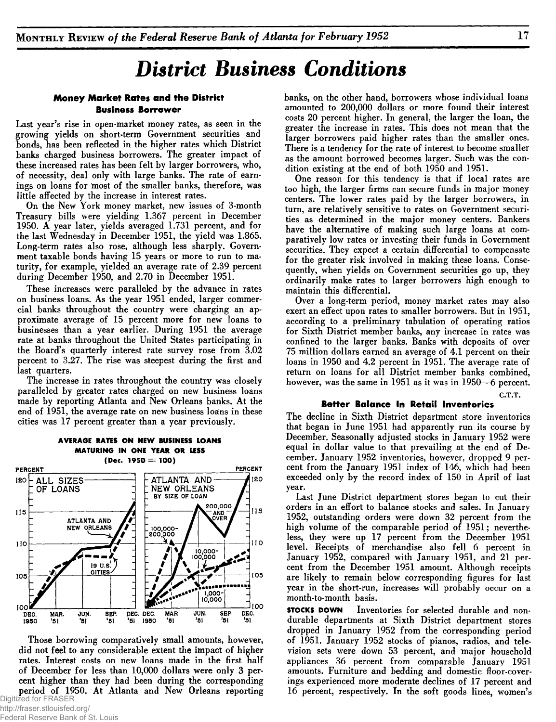# *District Business Conditions*

### **Money Market Rates and the District Business Borrower**

Last year's rise in open-market money rates, as seen in the growing yields on short-term Government securities and bonds, has been reflected in the higher rates which District banks charged business borrowers. The greater impact of these increased rates has been felt by larger borrowers, who, of necessity, deal only with large banks. The rate of earnings on loans for most of the smaller banks, therefore, was little affected by the increase in interest rates.

On the New York money market, new issues of 3-month Treasury bills were yielding 1.367 percent in December 1950. A year later, yields averaged 1.731 percent, and for the last Wednesday in December 1951, the yield was 1.865. Long-term rates also rose, although less sharply. Government taxable bonds having 15 years or more to run to maturity, for example, yielded an average rate of 2.39 percent during December 1950, and 2.70 in December 1951.

These increases were paralleled by the advance in rates on business loans. As the year 1951 ended, larger commercial banks throughout the country were charging an approximate average of 15 percent more for new loans to businesses than a year earlier. During 1951 the average rate at banks throughout the United States participating in the Board's quarterly interest rate survey rose from 3.02 percent to 3.27. The rise was steepest during the first and last quarters.

The increase in rates throughout the country was closely paralleled by greater rates charged on new business loans made by reporting Atlanta and New Orleans banks. At the end of 1951, the average rate on new business loans in these cities was 17 percent greater than a year previously.



Those borrowing comparatively small amounts, however, did not feel to any considerable extent the impact of higher rates. Interest costs on new loans made in the first half of December for less than 10,000 dollars were only 3 percent higher than they had been during the corresponding period of 1950. At Atlanta and New Orleans reporting Digitized for FRASER

banks, on the other hand, borrowers whose individual loans amounted to 200,000 dollars or more found their interest costs 20 percent higher. In general, the larger the loan, the greater the increase in rates. This does not mean that the larger borrowers paid higher rates than the smaller ones. There is a tendency for the rate of interest to become smaller as the amount borrowed becomes larger. Such was the condition existing at the end of both 1950 and 1951.

One reason for this tendency is that if local rates are too high, the larger firms can secure funds in major money centers. The lower rates paid by the larger borrowers, in turn, are relatively sensitive to rates on Government securities as determined in the major money centers. Bankers have the alternative of making such large loans at comparatively low rates or investing their funds in Government securities. They expect a certain differential to compensate for the greater risk involved in making these loans. Consequently, when yields on Government securities go up, they ordinarily make rates to larger borrowers high enough to maintain this differential.

Over a long-term period, money market rates may also exert an effect upon rates to smaller borrowers. But in 1951, according to a preliminary tabulation of operating ratios for Sixth District member banks, any increase in rates was confined to the larger banks. Banks with deposits of over 75 million dollars earned an average of 4.1 percent on their loans in 1950 and 4.2 percent in 1951. The average rate of return on loans for all District member banks combined, however, was the same in 1951 as it was in 1950—6 percent.  $C.T.T.$ 

### **Better Balance In Retail Inventories**

The decline in Sixth District department store inventories that began in June 1951 had apparently run its course by December. Seasonally adjusted stocks in January 1952 were equal in dollar value to that prevailing at the end of December. January 1952 inventories, however, dropped 9 percent from the January 1951 index of 146, which had been exceeded only by the record index of 150 in April of last year.

Last June District department stores began to cut their orders in an effort to balance stocks and sales. In January 1952, outstanding orders were down 32 percent from the high volume of the comparable period of 1951; nevertheless, they were up 17 percent from the December 1951 level. Receipts of merchandise also fell 6 percent in January 1952, compared with January 1951, and 21 percent from the December 1951 amount. Although receipts are likely to remain below corresponding figures for last year in the short-run, increases will probably occur on a month-to-month basis.

**STOCKS DOWN** Inventories for selected durable and nondurable departments at Sixth District department stores dropped in January 1952 from the corresponding period of 1951. January 1952 stocks of pianos, radios, and television sets were down 53 percent, and major household appliances 36 percent from comparable January 1951 amounts. Furniture and bedding and domestic floor-coverings experienced more moderate declines of 17 percent and 16 percent, respectively. In the soft goods lines, women's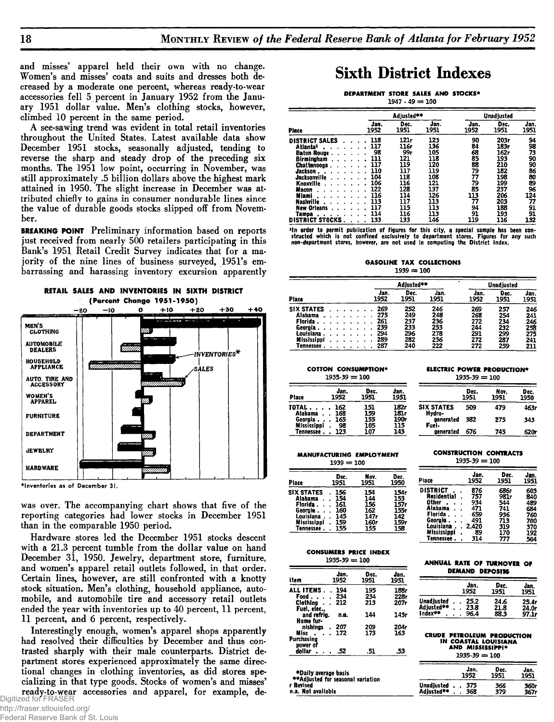and misses' apparel held their own with no change. Women's and misses' coats and suits and dresses both decreased by a moderate one percent, whereas ready-to-wear accessories fell 5 percent in January 1952 from the January 1951 dollar value. Men's clothing stocks, however, climbed 10 percent in the same period.

A see-sawing trend was evident in total retail inventories throughout the United States. Latest available data show December 1951 stocks, seasonally adjusted, tending to reverse the sharp and steady drop of the preceding six months. The 1951 low point, occurring in November, was still approximately .5 billion dollars above the highest mark attained in 1950. The slight increase in December was attributed chiefly to gains in consumer nondurable lines since the value of durable goods stocks slipped off from November.

**BREAKING POINT** Preliminary information based on reports just received from nearly 500 retailers participating in this Bank's 1951 Retail Credit Survey indicates that for a majority of the nine lines of business surveyed, 1951's embarrassing and harassing inventory excursion apparently



\*Inventories as of December 31.

was over. The accompanying chart shows that five of the reporting categories had lower stocks in December 1951 than in the comparable 1950 period.

Hardware stores led the December 1951 stocks descent with a 21.3 percent tumble from the dollar value on hand December 31, 1950. Jewelry, department store, furniture, and women's apparel retail outlets followed, in that order. Certain lines, however, are still confronted with a knotty stock situation. Men's clothing, household appliance, automobile, and automobile tire and accessory retail outlets ended the year with inventories up to 40 percent, 11 percent, 11 percent, and 6 percent, respectively.

Interestingly enough, women's apparel shops apparently had resolved their difficulties by December and thus contrasted sharply with their male counterparts. District department stores experienced approximately the same directional changes in clothing inventories, as did stores specializing in that type goods. Stocks of women's and misses' ready-to-wear accessories and apparel, for example, de-

# **Sixth District Indexes**

#### **DEPARTMENT STORE SALES AND STOCKS\***  $1947 \cdot 49 = 100$

|                          |              | Adjusted**   |              | Unadjusted   |              |              |
|--------------------------|--------------|--------------|--------------|--------------|--------------|--------------|
| Place                    | Jan.<br>1952 | Dec.<br>1951 | Jan.<br>1951 | Jan.<br>1952 | Dec.<br>1951 | Jan.<br>1951 |
| <b>DISTRICT SALES</b>    | 118          | 121r         | 123          | 90           | 203r         | 94           |
| Atlanta±                 | 117          | 116r         | 136          | 84           | 183r         | 98           |
| <b>Baton Rouge</b>       | 98           | 99r          | 105          | 68           | 162r         | 73           |
| Birminaham               | 111          | 121          | 118          | 85           | 193          | 90           |
| <b>Chattenoona</b>       | 117          | 119          | 120          | 88           | 210          | 90           |
| Jackson.                 | 110          | 117          | 119          | 79           | 182          | 86           |
| <b>Jacksonville</b>      | 104          | 118          | 108          | 77           | 198          | 80           |
| Knoxville                | 106          | 116          | 121          | 79           | 199          | 89           |
| Macon                    | 122          | 128          | 137          | 85           | 237          | 96           |
| Miami                    | 116          | 114          | 126          | 113          | 206          | 124          |
| <b>Nashville</b>         | 113          | 117          | 113          | 77           | 203          | 77           |
| <b>New Orleans</b>       | 117          | 115          | 113          | 94           | 188          | 91           |
|                          | 114          | 116          | 113          | 91           | 193          | 91           |
| Tampa<br>DISTRICT STOCKS | 133          | 133          | 146          | 119          | 116          | 132          |

The order to permit publication of figures for this city, a special sample has been con-<br>structed which is not confined exclusively to department stores. Figures for any such<br>non-department stores, however, are not used in

**GASOLINE TAX COLLECTIONS**  $1939 = 100$ 

|                          |  |  | Adiusted** |  | Unadjusted   |              |              |              |              |              |
|--------------------------|--|--|------------|--|--------------|--------------|--------------|--------------|--------------|--------------|
| Place                    |  |  |            |  | Jan.<br>1952 | Dec.<br>1951 | Jan.<br>1951 | Jan.<br>1952 | Dec.<br>1951 | Jan.<br>1951 |
| <b>SIX STATES</b>        |  |  |            |  | 269          | 252          | 246          | 269          | 257          | 246          |
| Alabama<br>Florida       |  |  |            |  | 275<br>261   | 249<br>237   | 248<br>236   | 268<br>272   | 254<br>234   | 241          |
| Georgia                  |  |  |            |  | 239          | 233          | 253          | 244          | 232          | 246<br>258   |
| Louisiana<br>Mississippi |  |  |            |  | 294<br>289   | 296<br>282   | 278<br>256   | 291<br>272   | 299<br>287   | 275<br>241   |
| Tennessee                |  |  |            |  | 287          | 240          | 222          | 272          | 259          | 211          |

**COTTON CONSUMPTION\***<br>
1935-30 - 1991 - 1995-30 - 1995-30 - 1995-30 - 1995-30 - 1996  $1935 - 39 = 100$ 

|                          |              |              |              |                             |              | ---          |              |
|--------------------------|--------------|--------------|--------------|-----------------------------|--------------|--------------|--------------|
| Place                    | Jan.<br>1952 | Dec.<br>1951 | Jan.<br>1951 |                             | Dec.<br>1951 | Nov.<br>1951 | Dec.<br>1950 |
| TOTAL.<br>Alabama        | 162<br>168   | 151<br>159   | 182r<br>181r | <b>SIX STATES</b><br>Hydro- | 509          | 479          | 463          |
| Georuia .<br>Mississippi | 165<br>98    | 155<br>105   | 190r<br>115  | generated<br>Fuel-          | 382          | 275          | 343          |
| Tennessee .              | 123          | 107          | 143          | generated                   | 676          | 745          | 620          |

**MANUFACTURING EMPLOYMENT CONSTRUCTION CONTRACTS** 

| $1939 = 100$       |      |      |      |  |  |  |  |  |
|--------------------|------|------|------|--|--|--|--|--|
| Place              | Dec. | Nov. | Dec. |  |  |  |  |  |
|                    | 1951 | 1951 | 1950 |  |  |  |  |  |
| <b>SIX STATES</b>  | 156  | 154  | 154r |  |  |  |  |  |
| Alabama            | 154  | 144  | 153  |  |  |  |  |  |
| Florida .          | 161  | 156  | 157r |  |  |  |  |  |
| Georgia.           | 160  | 162  | 155r |  |  |  |  |  |
| Louisiana          | 145  | 147r | 142  |  |  |  |  |  |
| <b>Mississippi</b> | 159  | 160r | 159r |  |  |  |  |  |
| Tennessee          | 155  | 155  | 158  |  |  |  |  |  |

| $1935.39 = 100$ |       |       |      |  |  |  |  |  |  |
|-----------------|-------|-------|------|--|--|--|--|--|--|
| Place           | Jan.  | Dec.  | Jan. |  |  |  |  |  |  |
|                 | 1952  | 1951  | 1951 |  |  |  |  |  |  |
| DISTRICT        | 876   | 686r  | 603  |  |  |  |  |  |  |
| Residential     | 757   | 981 r | 840  |  |  |  |  |  |  |
| Other           | 934   | 544   | 489  |  |  |  |  |  |  |
| Alabama         | 471   | 741   | 684  |  |  |  |  |  |  |
| Florida.        | 659   | 936   | 760  |  |  |  |  |  |  |
| Georgia.        | 491   | 713   | 700  |  |  |  |  |  |  |
| Louisiana       | 2.420 | 319   | 370  |  |  |  |  |  |  |
| Mississippi     | 89    | 170   | 192  |  |  |  |  |  |  |
| Tennessee.      | 314   | 777   | 504  |  |  |  |  |  |  |

| CONSUMERS PRICE INDEX |  |  |
|-----------------------|--|--|
| $1935-39 = 100$       |  |  |

| item                                              | Jan.<br>1952      | Dec.<br>1951      | Jan.<br>1951         |
|---------------------------------------------------|-------------------|-------------------|----------------------|
| ALL ITEMS .<br>Food<br>Clothing .<br>Fuel, elec., | 194<br>234<br>212 | 195<br>234<br>213 | 188r<br>228r<br>207r |
| and refrig.<br>Home fur-                          | n.a.              | 144               | 143r                 |
| nishinas<br>Misc .<br>Purchasino                  | 207<br>172        | 209<br>173        | 204r<br>163          |
| power of<br>dollar                                | .52               | .51               | .53                  |

**♦ D a ily average b asis ♦♦A d ju sted for seasonal variation**

**r Revised n .a . N ot available**

|  | ANNUAL RATE OF TURNOVER OF |  |
|--|----------------------------|--|
|  | <b>DEMAND DEPOSITS</b>     |  |

|                   | Jan.<br>1952 | Dec.<br>1951 | Jan.<br>1951 |
|-------------------|--------------|--------------|--------------|
| <b>Unadjusted</b> | 25.2         | 24.6         | 25.4r        |
| Adiusted**        | 23.8         | 21.8         | 24.0r        |
| Index**           | 96.4         | 88.3         | 97.1r        |

| <b>CRUDE PETROLEUM PRODUCTION</b> |  |
|-----------------------------------|--|
| IN COASTAL LOUISIANA              |  |
| <b>AND MISSISSIPPI*</b>           |  |
| $1935-39 = 100$                   |  |

|            | Jan.<br>1952 | Dec.<br>1951 | Jan.<br>1951 |  |
|------------|--------------|--------------|--------------|--|
| Unadjusted | - 375        | 366          | 360r         |  |
| Adiusted** | 368          | 379          | 367r         |  |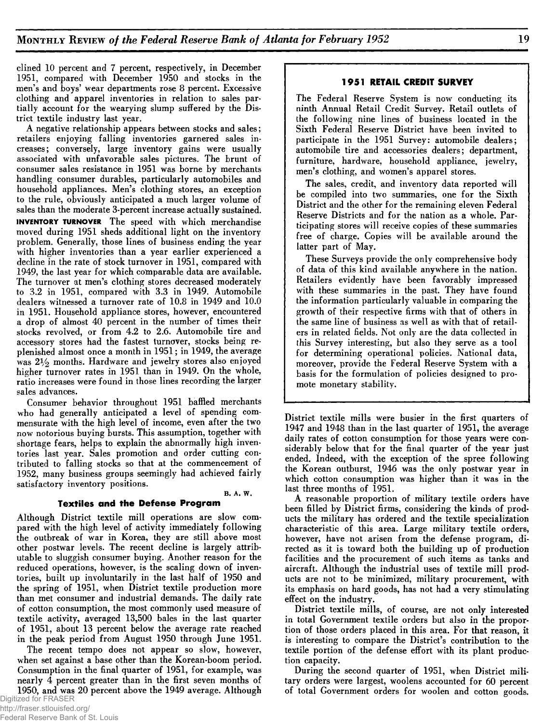clined 10 percent and 7 percent, respectively, in December 1951, compared with December 1950 and stocks in the men's and boys' wear departments rose 8 percent. Excessive clothing and apparel inventories in relation to sales partially account for the wearying slump suffered by the District textile industry last year.

A negative relationship appears between stocks and sales; retailers enjoying falling inventories garnered sales increases; conversely, large inventory gains were usually associated with unfavorable sales pictures. The brunt of consumer sales resistance in 1951 was borne by merchants handling consumer durables, particularly automobiles and household appliances. Men's clothing stores, an exception to the rule, obviously anticipated a much larger volume of sales than the moderate 3-percent increase actually sustained. **INVENTORY TURNOVER** The speed with which merchandise moved during 1951 sheds additional light on the inventory problem. Generally, those lines of business ending the year with higher inventories than a year earlier experienced a decline in the rate of stock turnover in 1951, compared with 1949, the last year for which comparable data are available. The turnover at men's clothing stores decreased moderately to  $3.2$  in 1951, compared with  $3.3$  in 1949. Automobile dealers witnessed a turnover rate of 10.8 in 1949 and 10.0 in 1951. Household appliance stores, however, encountered a drop of almost 40 percent in the number of times their stocks revolved, or from 4.2 to 2.6. Automobile tire and accessory stores had the fastest turnover, stocks being replenished almost once a month in 1951; in 1949, the average was  $2\frac{1}{2}$  months. Hardware and jewelry stores also enjoyed higher turnover rates in 1951 than in 1949. On the whole, ratio increases were found in those lines recording the larger sales advances.

Consumer behavior throughout 1951 baffled merchants who had generally anticipated a level of spending commensurate with the high level of income, even after the two now notorious buying bursts. This assumption, together with shortage fears, helps to explain the abnormally high inventories last year. Sales promotion and order cutting contributed to falling stocks so that at the commencement of 1952, many business groups seemingly had achieved fairly satisfactory inventory positions.

### **B. A. W. Textiles and the Defense Program**

Although District textile mill operations are slow compared with the high level of activity immediately following the outbreak of war in Korea, they are still above most other postwar levels. The recent decline is largely attributable to sluggish consumer buying. Another reason for the reduced operations, however, is the scaling down of inventories, built up involuntarily in the last half of 1950 and the spring of 1951, when District textile production more than met consumer and industrial demands. The daily rate of cotton consumption, the most commonly used measure of textile activity, averaged 13,500 bales in the last quarter of 1951, about 13 percent below the average rate reached in the peak period from August 1950 through June 1951.

The recent tempo does not appear so slow, however, when set against a base other than the Korean-boom period. Consumption in the final quarter of 1951, for example, was nearly 4 percent greater than in the first seven months of 1950, and was 20 percent above the 1949 average. Although

### **1951 RETAIL CREDIT SURVEY**

The Federal Reserve System is now conducting its ninth Annual Retail Credit Survey. Retail outlets of the following nine lines of business located in the Sixth Federal Reserve District have been invited to participate in the 1951 Survey: automobile dealers; automobile tire and accessories dealers; department, furniture, hardware, household appliance, jewelry, men's clothing, and women's apparel stores.

The sales, credit, and inventory data reported will be compiled into two summaries, one for the Sixth District and the other for the remaining eleven Federal Reserve Districts and for the nation as a whole. Participating stores will receive copies of these summaries free of charge. Copies will be available around the latter part of May.

These Surveys provide the only comprehensive body of data of this kind available anywhere in the nation. Retailers evidently have been favorably impressed with these summaries in the past. They have found the information particularly valuable in comparing the growth of their respective firms with that of others in the same line of business as well as with that of retailers in related fields. Not only are the data collected in this Survey interesting, but also they serve as a tool for determining operational policies. National data, moreover, provide the Federal Reserve System with a basis for the formulation of policies designed to promote monetary stability.

District textile mills were busier in the first quarters of 1947 and 1948 than in the last quarter of 1951, the average daily rates of cotton consumption for those years were considerably below that for the final quarter of the year just ended. Indeed, with the exception of the spree following the Korean outburst, 1946 was the only postwar year in which cotton consumption was higher than it was in the last three months of 1951.

A reasonable proportion of military textile orders have been filled by District firms, considering the kinds of products the military has ordered and the textile specialization characteristic of this area. Large military textile orders, however, have not arisen from the defense program, directed as it is toward both the building up of production facilities and the procurement of such items as tanks and aircraft. Although the industrial uses of textile mill products are not to be minimized, military procurement, with its emphasis on hard goods, has not had a very stimulating effect on the industry.

District textile mills, of course, are not only interested in total Government textile orders but also in the proportion of those orders placed in this area. For that reason, it is interesting to compare the District's contribution to the textile portion of the defense effort with its plant production capacity.

During the second quarter of 1951, when District military orders were largest, woolens accounted for 60 percent of total Government orders for woolen and cotton goods.